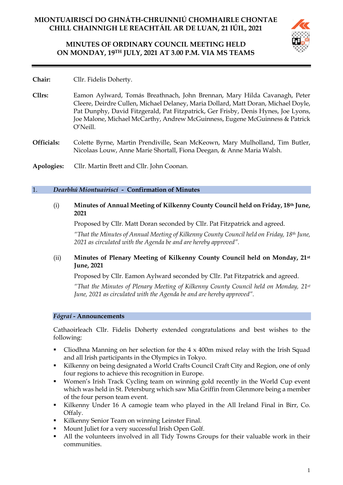# **MINUTES OF ORDINARY COUNCIL MEETING HELD ON MONDAY, 19TH JULY, 2021 AT 3.00 P.M. VIA MS TEAMS**



- **Chair:** Cllr. Fidelis Doherty.
- **Cllrs:** Eamon Aylward, Tomás Breathnach, John Brennan, Mary Hilda Cavanagh, Peter Cleere, Deirdre Cullen, Michael Delaney, Maria Dollard, Matt Doran, Michael Doyle, Pat Dunphy, David Fitzgerald, Pat Fitzpatrick, Ger Frisby, Denis Hynes, Joe Lyons, Joe Malone, Michael McCarthy, Andrew McGuinness, Eugene McGuinness & Patrick O'Neill.
- **Officials:** Colette Byrne, Martin Prendiville, Sean McKeown, Mary Mulholland, Tim Butler, Nicolaas Louw, Anne Marie Shortall, Fiona Deegan, & Anne Maria Walsh.
- **Apologies:** Cllr. Martin Brett and Cllr. John Coonan.

### 1. *Dearbhú Miontuairiscí -* **Confirmation of Minutes**

(i) **Minutes of Annual Meeting of Kilkenny County Council held on Friday, 18th June, 2021**

Proposed by Cllr. Matt Doran seconded by Cllr. Pat Fitzpatrick and agreed.

*"That the Minutes of Annual Meeting of Kilkenny County Council held on Friday, 18th June, 2021 as circulated with the Agenda be and are hereby approved".*

# (ii) **Minutes of Plenary Meeting of Kilkenny County Council held on Monday, 21st June, 2021**

Proposed by Cllr. Eamon Aylward seconded by Cllr. Pat Fitzpatrick and agreed.

*"That the Minutes of Plenary Meeting of Kilkenny County Council held on Monday, 21st June, 2021 as circulated with the Agenda be and are hereby approved".*

### *Fógraí* **- Announcements**

Cathaoirleach Cllr. Fidelis Doherty extended congratulations and best wishes to the following:

- Cliodhna Manning on her selection for the  $4 \times 400$ m mixed relay with the Irish Squad and all Irish participants in the Olympics in Tokyo.
- Kilkenny on being designated a World Crafts Council Craft City and Region, one of only four regions to achieve this recognition in Europe.
- Women's Irish Track Cycling team on winning gold recently in the World Cup event which was held in St. Petersburg which saw Mia Griffin from Glenmore being a member of the four person team event.
- Kilkenny Under 16 A camogie team who played in the All Ireland Final in Birr, Co. Offaly.
- Kilkenny Senior Team on winning Leinster Final.
- Mount Juliet for a very successful Irish Open Golf.
- All the volunteers involved in all Tidy Towns Groups for their valuable work in their communities.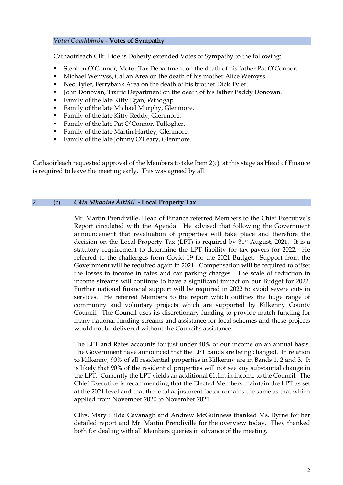## *Vótaí Comhbhrón* **- Votes of Sympathy**

Cathaoirleach Cllr. Fidelis Doherty extended Votes of Sympathy to the following:

- Stephen O'Connor, Motor Tax Department on the death of his father Pat O'Connor.
- Michael Wemyss, Callan Area on the death of his mother Alice Wemyss.
- Ned Tyler, Ferrybank Area on the death of his brother Dick Tyler.
- John Donovan, Traffic Department on the death of his father Paddy Donovan.
- Family of the late Kitty Egan, Windgap.
- Family of the late Michael Murphy, Glenmore.
- Family of the late Kitty Reddy, Glenmore.
- Family of the late Pat O'Connor, Tullogher.
- Family of the late Martin Hartley, Glenmore.
- Family of the late Johnny O'Leary, Glenmore.

Cathaoirleach requested approval of the Members to take Item 2(c) at this stage as Head of Finance is required to leave the meeting early. This was agreed by all.

## 2. (c) *Cáin Mhaoine Áitiúil* **- Local Property Tax**

Mr. Martin Prendiville, Head of Finance referred Members to the Chief Executive's Report circulated with the Agenda. He advised that following the Government announcement that revaluation of properties will take place and therefore the decision on the Local Property Tax (LPT) is required by 31st August, 2021. It is a statutory requirement to determine the LPT liability for tax payers for 2022. He referred to the challenges from Covid 19 for the 2021 Budget. Support from the Government will be required again in 2021. Compensation will be required to offset the losses in income in rates and car parking charges. The scale of reduction in income streams will continue to have a significant impact on our Budget for 2022. Further national financial support will be required in 2022 to avoid severe cuts in services. He referred Members to the report which outlines the huge range of community and voluntary projects which are supported by Kilkenny County Council. The Council uses its discretionary funding to provide match funding for many national funding streams and assistance for local schemes and these projects would not be delivered without the Council's assistance.

The LPT and Rates accounts for just under 40% of our income on an annual basis. The Government have announced that the LPT bands are being changed. In relation to Kilkenny, 90% of all residential properties in Kilkenny are in Bands 1, 2 and 3. It is likely that 90% of the residential properties will not see any substantial change in the LPT. Currently the LPT yields an additional €1.1m in income to the Council. The Chief Executive is recommending that the Elected Members maintain the LPT as set at the 2021 level and that the local adjustment factor remains the same as that which applied from November 2020 to November 2021.

Cllrs. Mary Hilda Cavanagh and Andrew McGuinness thanked Ms. Byrne for her detailed report and Mr. Martin Prendiville for the overview today. They thanked both for dealing with all Members queries in advance of the meeting.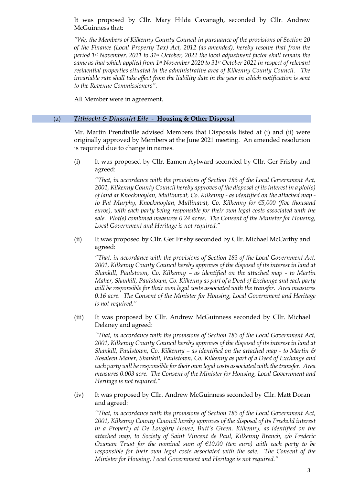It was proposed by Cllr. Mary Hilda Cavanagh, seconded by Cllr. Andrew McGuinness that:

*"We, the Members of Kilkenny County Council in pursuance of the provisions of Section 20 of the Finance (Local Property Tax) Act, 2012 (as amended), hereby resolve that from the period 1st November, 2021 to 31st October, 2022 the local adjustment factor shall remain the same as that which applied from 1st November 2020 to 31st October 2021 in respect of relevant residential properties situated in the administrative area of Kilkenny County Council. The invariable rate shall take effect from the liability date in the year in which notification is sent to the Revenue Commissioners".*

All Member were in agreement.

### (a) *Tithíocht & Díuscairt Eile -* **Housing & Other Disposal**

Mr. Martin Prendiville advised Members that Disposals listed at (i) and (ii) were originally approved by Members at the June 2021 meeting. An amended resolution is required due to change in names.

(i) It was proposed by Cllr. Eamon Aylward seconded by Cllr. Ger Frisby and agreed:

*"That, in accordance with the provisions of Section 183 of the Local Government Act, 2001, Kilkenny County Council hereby approves of the disposal of its interest in a plot(s) of land at Knockmoylan, Mullinavat, Co. Kilkenny - as identified on the attached map to Pat Murphy, Knockmoylan, Mullinavat, Co. Kilkenny for €5,000 (five thousand euros), with each party being responsible for their own legal costs associated with the sale. Plot(s) combined measures 0.24 acres. The Consent of the Minister for Housing, Local Government and Heritage is not required."*

(ii) It was proposed by Cllr. Ger Frisby seconded by Cllr. Michael McCarthy and agreed:

*"That, in accordance with the provisions of Section 183 of the Local Government Act, 2001, Kilkenny County Council hereby approves of the disposal of its interest in land at Shankill, Paulstown, Co. Kilkenny – as identified on the attached map - to Martin Maher, Shankill, Paulstown, Co. Kilkenny as part of a Deed of Exchange and each party will be responsible for their own legal costs associated with the transfer. Area measures 0.16 acre. The Consent of the Minister for Housing, Local Government and Heritage is not required."*

(iii) It was proposed by Cllr. Andrew McGuinness seconded by Cllr. Michael Delaney and agreed:

*"That, in accordance with the provisions of Section 183 of the Local Government Act, 2001, Kilkenny County Council hereby approves of the disposal of its interest in land at Shankill, Paulstown, Co. Kilkenny – as identified on the attached map - to Martin & Rosaleen Maher, Shankill, Paulstown, Co. Kilkenny as part of a Deed of Exchange and each party will be responsible for their own legal costs associated with the transfer. Area measures 0.003 acre. The Consent of the Minister for Housing, Local Government and Heritage is not required."*

(iv) It was proposed by Cllr. Andrew McGuinness seconded by Cllr. Matt Doran and agreed:

*"That, in accordance with the provisions of Section 183 of the Local Government Act, 2001, Kilkenny County Council hereby approves of the disposal of its Freehold interest*  in a Property at De Loughry House, Butt's Green, Kilkenny, as identified on the *attached map, to Society of Saint Vincent de Paul, Kilkenny Branch, c/o Frederic Ozanam Trust for the nominal sum of €10.00 (ten euro) with each party to be*  responsible for their own legal costs associated with the sale. The Consent of the *Minister for Housing, Local Government and Heritage is not required."*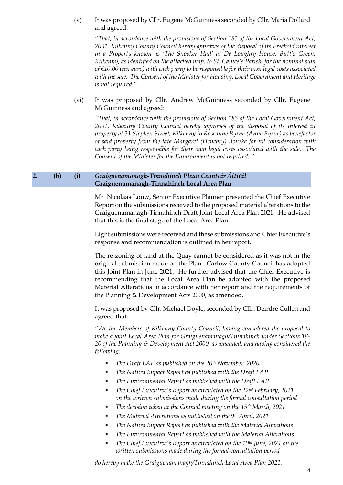(v) It was proposed by Cllr. Eugene McGuinness seconded by Cllr. Maria Dollard and agreed:

*"That, in accordance with the provisions of Section 183 of the Local Government Act, 2001, Kilkenny County Council hereby approves of the disposal of its Freehold interest in a Property known as 'The Snooker Hall' at De Loughry House, Butt's Green, Kilkenny, as identified on the attached map, to St. Canice's Parish, for the nominal sum of €10.00 (ten euro) with each party to be responsible for their own legal costs associated with the sale. The Consent of the Minister for Housing, Local Government and Heritage is not required."*

(vi) It was proposed by Cllr. Andrew McGuinness seconded by Cllr. Eugene McGuinness and agreed:

*"That, in accordance with the provisions of Section 183 of the Local Government Act, 2001, Kilkenny County Council hereby approves of the disposal of its interest in property at 31 Stephen Street, Kilkenny to Roseanne Byrne (Anne Byrne) as benefactor of said property from the late Margaret (Henebry) Bourke for nil consideration with each party being responsible for their own legal costs associated with the sale. The Consent of the Minister for the Environment is not required. "* 

### **2. (b) (i)** *Graiguenamanagh-Tinnahinch Plean Ceantair Áitiúil* **Graiguenamanagh-Tinnahinch Local Area Plan**

Mr. Nicolaas Louw, Senior Executive Planner presented the Chief Executive Report on the submissions received to the proposed material alterations to the Graiguenamanagh-Tinnahinch Draft Joint Local Area Plan 2021. He advised that this is the final stage of the Local Area Plan.

Eight submissions were received and these submissions and Chief Executive's response and recommendation is outlined in her report.

The re-zoning of land at the Quay cannot be considered as it was not in the original submission made on the Plan. Carlow County Council has adopted this Joint Plan in June 2021. He further advised that the Chief Executive is recommending that the Local Area Plan be adopted with the proposed Material Alterations in accordance with her report and the requirements of the Planning & Development Acts 2000, as amended.

It was proposed by Cllr. Michael Doyle, seconded by Cllr. Deirdre Cullen and agreed that:

*"We the Members of Kilkenny County Council, having considered the proposal to make a joint Local Area Plan for Graiguenamanagh/Tinnahinch under Sections 18- 20 of the Planning & Development Act 2000, as amended, and having considered the following:*

- *The Draft LAP as published on the 20th November, 2020*
- *The Natura Impact Report as published with the Draft LAP*
- *The Environmental Report as published with the Draft LAP*
- *The Chief Executive's Report as circulated on the 22nd February, 2021 on the written submissions made during the formal consultation period*
- *The decision taken at the Council meeting on the 15<sup>th</sup> March, 2021*
- *The Material Alterations as published on the 9th April, 2021*
- *The Natura Impact Report as published with the Material Alterations*
- *The Environmental Report as published with the Material Alterations*
- *The Chief Executive's Report as circulated on the 10th June, 2021 on the written submissions made during the formal consultation period*

*do hereby make the Graiguenamanagh/Tinnahinch Local Area Plan 2021.*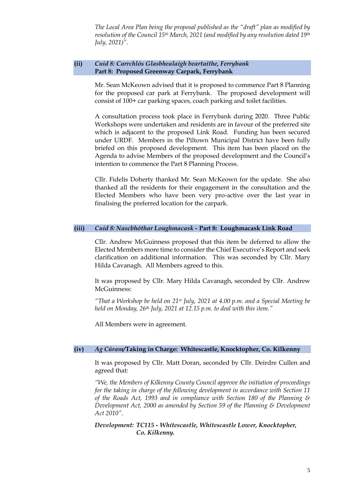*The Local Area Plan being the proposal published as the "draft" plan as modified by resolution of the Council 15th March, 2021 (and modified by any resolution dated 19th July, 2021)".* 

## **(ii)** *Cuid 8: Carrchlós Glasbhealaigh beartaithe, Ferrybank* **Part 8: Proposed Greenway Carpark, Ferrybank**

Mr. Sean McKeown advised that it is proposed to commence Part 8 Planning for the proposed car park at Ferrybank. The proposed development will consist of 100+ car parking spaces, coach parking and toilet facilities.

A consultation process took place in Ferrybank during 2020. Three Public Workshops were undertaken and residents are in favour of the preferred site which is adjacent to the proposed Link Road. Funding has been secured under URDF. Members in the Piltown Municipal District have been fully briefed on this proposed development. This item has been placed on the Agenda to advise Members of the proposed development and the Council's intention to commence the Part 8 Planning Process.

Cllr. Fidelis Doherty thanked Mr. Sean McKeown for the update. She also thanked all the residents for their engagement in the consultation and the Elected Members who have been very pro-active over the last year in finalising the preferred location for the carpark.

### **(iii)** *Cuid 8: Nascbhóthar Loughmacask -* **Part 8: Loughmacask Link Road**

Cllr. Andrew McGuinness proposed that this item be deferred to allow the Elected Members more time to consider the Chief Executive's Report and seek clarification on additional information. This was seconded by Cllr. Mary Hilda Cavanagh. All Members agreed to this.

It was proposed by Cllr. Mary Hilda Cavanagh, seconded by Cllr. Andrew McGuinness:

*"That a Workshop be held on 21st July, 2021 at 4.00 p.m. and a Special Meeting be held on Monday, 26th July, 2021 at 12.15 p.m. to deal with this item."*

All Members were in agreement.

### **(iv)** *Ag Cúram/***Taking in Charge: Whitescastle, Knocktopher, Co. Kilkenny**

It was proposed by Cllr. Matt Doran, seconded by Cllr. Deirdre Cullen and agreed that:

*"We, the Members of Kilkenny County Council approve the initiation of proceedings for the taking in charge of the following development in accordance with Section 11 of the Roads Act, 1993 and in compliance with Section 180 of the Planning & Development Act, 2000 as amended by Section 59 of the Planning & Development Act 2010".*

*Development: TC115 - Whitescastle, Whitescastle Lower, Knocktopher, Co. Kilkenny.*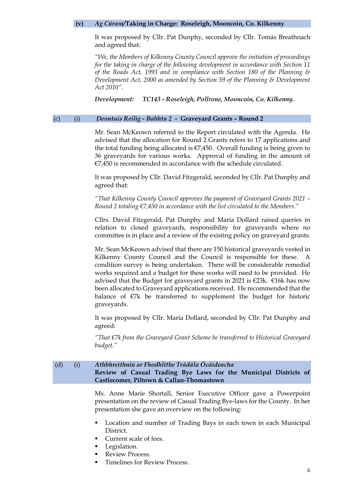#### **(v)** *Ag Cúram/***Taking in Charge: Roseleigh, Mooncoin, Co. Kilkenny**

It was proposed by Cllr. Pat Dunphy, seconded by Cllr. Tomás Breathnach and agreed that:

*"We, the Members of Kilkenny County Council approve the initiation of proceedings for the taking in charge of the following development in accordance with Section 11 of the Roads Act, 1993 and in compliance with Section 180 of the Planning & Development Act, 2000 as amended by Section 59 of the Planning & Development Act 2010".*

*Development: TC143 - Roseleigh, Pollrone, Mooncoin, Co. Kilkenny.*

#### (c) (i) *Deontais Reilig - Babhta 2 -* **Graveyard Grants – Round 2**

Mr. Sean McKeown referred to the Report circulated with the Agenda. He advised that the allocation for Round 2 Grants refers to 17 applications and the total funding being allocated is  $\epsilon$ 7,450. Overall funding is being given to 36 graveyards for various works. Approval of funding in the amount of €7,450 is recommended in accordance with the schedule circulated.

It was proposed by Cllr. David Fitzgerald, seconded by Cllr. Pat Dunphy and agreed that:

*"That Kilkenny County Council approves the payment of Graveyard Grants 2021 – Round 2 totaling €7,450 in accordance with the list circulated to the Members."*

Cllrs. David Fitzgerald, Pat Dunphy and Maria Dollard raised queries in relation to closed graveyards, responsibility for graveyards where no committee is in place and a review of the existing policy on graveyard grants.

Mr. Sean McKeown advised that there are 150 historical graveyards vested in Kilkenny County Council and the Council is responsible for these. A condition survey is being undertaken. There will be considerable remedial works required and a budget for these works will need to be provided. He advised that the Budget for graveyard grants in 2021 is  $\epsilon$ 23k.  $\epsilon$ 16k has now been allocated to Graveyard applications received. He recommended that the balance of €7k be transferred to supplement the budget for historic graveyards.

It was proposed by Cllr. Maria Dollard, seconded by Cllr. Pat Dunphy and agreed:

*"That €7k from the Graveyard Grant Scheme be transferred to Historical Graveyard budget."*

## (d) (i) *Athbhreithniú ar Fhodhlíthe Trádála Ócáideacha* **Review of Casual Trading Bye Laws for the Municipal Districts of Castlecomer, Piltown & Callan-Thomastown**

Ms. Anne Marie Shortall, Senior Executive Officer gave a Powerpoint presentation on the review of Casual Trading Bye-laws for the County. In her presentation she gave an overview on the following:

- Location and number of Trading Bays in each town in each Municipal District.
- Current scale of fees.
- Legislation.
- **Review Process.**
- **Timelines for Review Process.**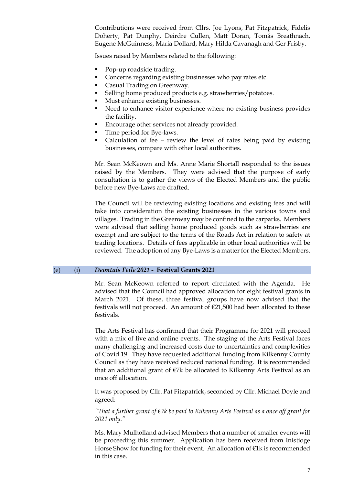Contributions were received from Cllrs. Joe Lyons, Pat Fitzpatrick, Fidelis Doherty, Pat Dunphy, Deirdre Cullen, Matt Doran, Tomás Breathnach, Eugene McGuinness, Maria Dollard, Mary Hilda Cavanagh and Ger Frisby.

Issues raised by Members related to the following:

- Pop-up roadside trading.
- Concerns regarding existing businesses who pay rates etc.
- Casual Trading on Greenway.
- Selling home produced products e.g. strawberries/potatoes.
- Must enhance existing businesses.
- Need to enhance visitor experience where no existing business provides the facility.
- Encourage other services not already provided.
- Time period for Bye-laws.
- Calculation of fee review the level of rates being paid by existing businesses, compare with other local authorities.

Mr. Sean McKeown and Ms. Anne Marie Shortall responded to the issues raised by the Members. They were advised that the purpose of early consultation is to gather the views of the Elected Members and the public before new Bye-Laws are drafted.

The Council will be reviewing existing locations and existing fees and will take into consideration the existing businesses in the various towns and villages. Trading in the Greenway may be confined to the carparks. Members were advised that selling home produced goods such as strawberries are exempt and are subject to the terms of the Roads Act in relation to safety at trading locations. Details of fees applicable in other local authorities will be reviewed. The adoption of any Bye-Laws is a matter for the Elected Members.

### (e) (i) *Deontais Féile 2021* **- Festival Grants 2021**

Mr. Sean McKeown referred to report circulated with the Agenda. He advised that the Council had approved allocation for eight festival grants in March 2021. Of these, three festival groups have now advised that the festivals will not proceed. An amount of €21,500 had been allocated to these festivals.

The Arts Festival has confirmed that their Programme for 2021 will proceed with a mix of live and online events. The staging of the Arts Festival faces many challenging and increased costs due to uncertainties and complexities of Covid 19. They have requested additional funding from Kilkenny County Council as they have received reduced national funding. It is recommended that an additional grant of  $E7k$  be allocated to Kilkenny Arts Festival as an once off allocation.

It was proposed by Cllr. Pat Fitzpatrick, seconded by Cllr. Michael Doyle and agreed:

*"That a further grant of €7k be paid to Kilkenny Arts Festival as a once off grant for 2021 only."*

Ms. Mary Mulholland advised Members that a number of smaller events will be proceeding this summer. Application has been received from Inistioge Horse Show for funding for their event. An allocation of €1k is recommended in this case.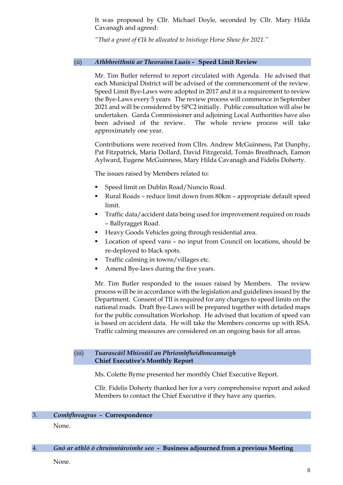It was proposed by Cllr. Michael Doyle, seconded by Cllr. Mary Hilda Cavanagh and agreed:

*"That a grant of €1k be allocated to Inistioge Horse Show for 2021."*

### (ii) *Athbhreithniú ar Theorainn Luais -* **Speed Limit Review**

Mr. Tim Butler referred to report circulated with Agenda. He advised that each Municipal District will be advised of the commencement of the review. Speed Limit Bye-Laws were adopted in 2017 and it is a requirement to review the Bye-Laws every 5 years The review process will commence in September 2021 and will be considered by SPC2 initially. Public consultation will also be undertaken. Garda Commissioner and adjoining Local Authorities have also been advised of the review. The whole review process will take approximately one year.

Contributions were received from Cllrs. Andrew McGuinness, Pat Dunphy, Pat Fitzpatrick, Maria Dollard, David Fitzgerald, Tomás Breathnach, Eamon Aylward, Eugene McGuinness, Mary Hilda Cavanagh and Fidelis Doherty.

The issues raised by Members related to:

- Speed limit on Dublin Road/Nuncio Road.
- Rural Roads reduce limit down from 80km appropriate default speed limit.
- **Traffic data/accident data being used for improvement required on roads** – Ballyragget Road.
- Heavy Goods Vehicles going through residential area.
- Location of speed vans no input from Council on locations, should be re-deployed to black spots.
- Traffic calming in towns/villages etc.
- Amend Bye-laws during the five years.

Mr. Tim Butler responded to the issues raised by Members. The review process will be in accordance with the legislation and guidelines issued by the Department. Consent of TII is required for any changes to speed limits on the national roads. Draft Bye-Laws will be prepared together with detailed maps for the public consultation Workshop. He advised that location of speed van is based on accident data. He will take the Members concerns up with RSA. Traffic calming measures are considered on an ongoing basis for all areas.

#### (iii) *Tuarascáil Mhíosúil an Phríomhfheidhmeannaigh* **Chief Executive's Monthly Report**

Ms. Colette Byrne presented her monthly Chief Executive Report.

Cllr. Fidelis Doherty thanked her for a very comprehensive report and asked Members to contact the Chief Executive if they have any queries.

### 3. *Comhfhreagras -* **Correspondence**

None.

### 4. *Gnó ar athló ó chruinniúroimhe seo -* **Business adjourned from a previous Meeting**

None.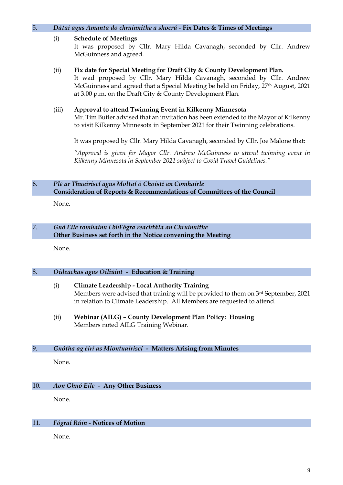| 5. |                                                                                                                                 | Dátaí agus Amanta do chruinnithe a shocrú - Fix Dates & Times of Meetings                                                                                                                                                                                                                                             |  |
|----|---------------------------------------------------------------------------------------------------------------------------------|-----------------------------------------------------------------------------------------------------------------------------------------------------------------------------------------------------------------------------------------------------------------------------------------------------------------------|--|
|    | (i)                                                                                                                             | <b>Schedule of Meetings</b><br>It was proposed by Cllr. Mary Hilda Cavanagh, seconded by Cllr. Andrew<br>McGuinness and agreed.                                                                                                                                                                                       |  |
|    | (ii)                                                                                                                            | Fix date for Special Meeting for Draft City & County Development Plan.<br>It wad proposed by Cllr. Mary Hilda Cavanagh, seconded by Cllr. Andrew<br>McGuinness and agreed that a Special Meeting be held on Friday, 27 <sup>th</sup> August, 2021<br>at 3.00 p.m. on the Draft City & County Development Plan.        |  |
|    | (iii)                                                                                                                           | Approval to attend Twinning Event in Kilkenny Minnesota<br>Mr. Tim Butler advised that an invitation has been extended to the Mayor of Kilkenny<br>to visit Kilkenny Minnesota in September 2021 for their Twinning celebrations.<br>It was proposed by Cllr. Mary Hilda Cavanagh, seconded by Cllr. Joe Malone that: |  |
|    |                                                                                                                                 | "Approval is given for Mayor Cllr. Andrew McGuinness to attend twinning event in<br>Kilkenny Minnesota in September 2021 subject to Covid Travel Guidelines."                                                                                                                                                         |  |
| 6. | Plé ar Thuairiscí agus Moltaí ó Choistí an Comhairle<br>Consideration of Reports & Recommendations of Committees of the Council |                                                                                                                                                                                                                                                                                                                       |  |
|    | None.                                                                                                                           |                                                                                                                                                                                                                                                                                                                       |  |
| 7. |                                                                                                                                 | Gnó Eile romhainn i bhFógra reachtála an Chruinnithe<br>Other Business set forth in the Notice convening the Meeting                                                                                                                                                                                                  |  |
|    | None.                                                                                                                           |                                                                                                                                                                                                                                                                                                                       |  |

# 8. *Oideachas agus Oiliúint -* **Education & Training**

- (i) **Climate Leadership - Local Authority Training** Members were advised that training will be provided to them on 3rd September, 2021 in relation to Climate Leadership. All Members are requested to attend.
- (ii) **Webinar (AILG) – County Development Plan Policy: Housing** Members noted AILG Training Webinar.

# 9. *Gnótha ag éirí as Miontuairiscí -* **Matters Arising from Minutes**

None.

# 10. *Aon Ghnó Eile -* **Any Other Business**

None.

# 11. *Fógraí Rúin -* **Notices of Motion**

None.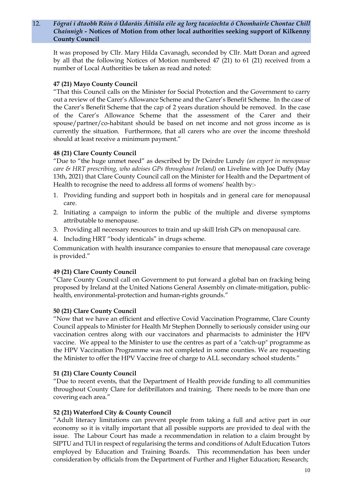## 12. *Fógraí i dtaobh Rúin ó Údaráis Áitiúla eile ag lorg tacaíochta ó Chomhairle Chontae Chill Chainnigh -* **Notices of Motion from other local authorities seeking support of Kilkenny County Council**

It was proposed by Cllr. Mary Hilda Cavanagh, seconded by Cllr. Matt Doran and agreed by all that the following Notices of Motion numbered 47 (21) to 61 (21) received from a number of Local Authorities be taken as read and noted:

# **47 (21) Mayo County Council**

"That this Council calls on the Minister for Social Protection and the Government to carry out a review of the Carer's Allowance Scheme and the Carer's Benefit Scheme. In the case of the Carer's Benefit Scheme that the cap of 2 years duration should be removed. In the case of the Carer's Allowance Scheme that the assessment of the Carer and their spouse/partner/co-habitant should be based on net income and not gross income as is currently the situation. Furthermore, that all carers who are over the income threshold should at least receive a minimum payment."

## **48 (21) Clare County Council**

"Due to "the huge unmet need" as described by Dr Deirdre Lundy *(an expert in menopause care & HRT prescribing, who advises GPs throughout Ireland)* on Liveline with Joe Duffy (May 13th, 2021) that Clare County Council call on the Minister for Health and the Department of Health to recognise the need to address all forms of womens' health by:-

- 1. Providing funding and support both in hospitals and in general care for menopausal care.
- 2. Initiating a campaign to inform the public of the multiple and diverse symptoms attributable to menopause.
- 3. Providing all necessary resources to train and up skill Irish GPs on menopausal care.
- 4. Including HRT "body identicals" in drugs scheme.

Communication with health insurance companies to ensure that menopausal care coverage is provided."

# **49 (21) Clare County Council**

"Clare County Council call on Government to put forward a global ban on fracking being proposed by Ireland at the United Nations General Assembly on climate-mitigation, publichealth, environmental-protection and human-rights grounds."

## **50 (21) Clare County Council**

"Now that we have an efficient and effective Covid Vaccination Programme, Clare County Council appeals to Minister for Health Mr Stephen Donnelly to seriously consider using our vaccination centres along with our vaccinators and pharmacists to administer the HPV vaccine. We appeal to the Minister to use the centres as part of a "catch-up" programme as the HPV Vaccination Programme was not completed in some counties. We are requesting the Minister to offer the HPV Vaccine free of charge to ALL secondary school students."

## **51 (21) Clare County Council**

"Due to recent events, that the Department of Health provide funding to all communities throughout County Clare for defibrillators and training. There needs to be more than one covering each area."

## **52 (21) Waterford City & County Council**

"Adult literacy limitations can prevent people from taking a full and active part in our economy so it is vitally important that all possible supports are provided to deal with the issue. The Labour Court has made a recommendation in relation to a claim brought by SIPTU and TUI in respect of regularising the terms and conditions of Adult Education Tutors employed by Education and Training Boards. This recommendation has been under consideration by officials from the Department of Further and Higher Education; Research;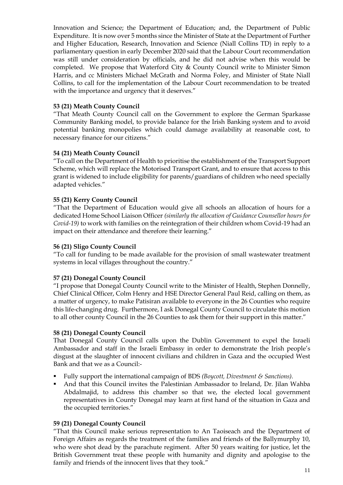Innovation and Science; the Department of Education; and, the Department of Public Expenditure. It is now over 5 months since the Minister of State at the Department of Further and Higher Education, Research, Innovation and Science (Niall Collins TD) in reply to a parliamentary question in early December 2020 said that the Labour Court recommendation was still under consideration by officials, and he did not advise when this would be completed. We propose that Waterford City & County Council write to Minister Simon Harris, and cc Ministers Michael McGrath and Norma Foley, and Minister of State Niall Collins, to call for the implementation of the Labour Court recommendation to be treated with the importance and urgency that it deserves."

# **53 (21) Meath County Council**

"That Meath County Council call on the Government to explore the German Sparkasse Community Banking model, to provide balance for the Irish Banking system and to avoid potential banking monopolies which could damage availability at reasonable cost, to necessary finance for our citizens."

## **54 (21) Meath County Council**

"To call on the Department of Health to prioritise the establishment of the Transport Support Scheme, which will replace the Motorised Transport Grant, and to ensure that access to this grant is widened to include eligibility for parents/guardians of children who need specially adapted vehicles."

# **55 (21) Kerry County Council**

"That the Department of Education would give all schools an allocation of hours for a dedicated Home School Liaison Officer *(similarly the allocation of Guidance Counsellor hours for Covid-19)* to work with families on the reintegration of their children whom Covid-19 had an impact on their attendance and therefore their learning."

## **56 (21) Sligo County Council**

"To call for funding to be made available for the provision of small wastewater treatment systems in local villages throughout the country."

# **57 (21) Donegal County Council**

"I propose that Donegal County Council write to the Minister of Health, Stephen Donnelly, Chief Clinical Officer, Colm Henry and HSE Director General Paul Reid, calling on them, as a matter of urgency, to make Patisiran available to everyone in the 26 Counties who require this life-changing drug. Furthermore, I ask Donegal County Council to circulate this motion to all other county Council in the 26 Counties to ask them for their support in this matter."

## **58 (21) Donegal County Council**

That Donegal County Council calls upon the Dublin Government to expel the Israeli Ambassador and staff in the Israeli Embassy in order to demonstrate the Irish people's disgust at the slaughter of innocent civilians and children in Gaza and the occupied West Bank and that we as a Council:-

- Fully support the international campaign of BDS *(Boycott, Divestment & Sanctions).*
- And that this Council invites the Palestinian Ambassador to Ireland, Dr. Jilan Wahba Abdalmajid, to address this chamber so that we, the elected local government representatives in County Donegal may learn at first hand of the situation in Gaza and the occupied territories."

## **59 (21) Donegal County Council**

"That this Council make serious representation to An Taoiseach and the Department of Foreign Affairs as regards the treatment of the families and friends of the Ballymurphy 10, who were shot dead by the parachute regiment. After 50 years waiting for justice, let the British Government treat these people with humanity and dignity and apologise to the family and friends of the innocent lives that they took."